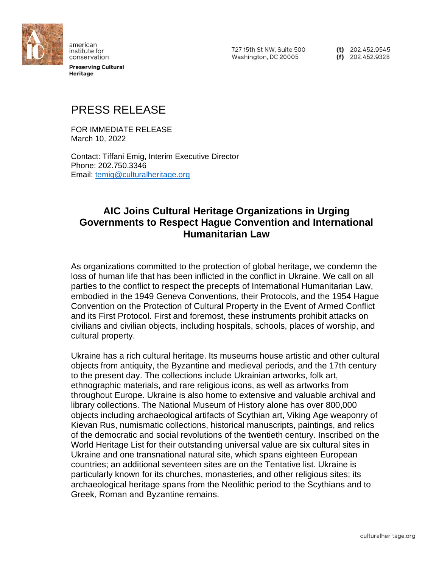

american institute for conservation

**Preserving Cultural Heritage** 

727 15th St NW, Suite 500 Washington, DC 20005

 $(t)$  202.452.9545  $(f)$  202.452.9328

# PRESS RELEASE

FOR IMMEDIATE RELEASE March 10, 2022

Contact: Tiffani Emig, Interim Executive Director Phone: 202.750.3346 Email: [temig@culturalheritage.org](mailto:temig@culturalheritage.org)

# **AIC Joins Cultural Heritage Organizations in Urging Governments to Respect Hague Convention and International Humanitarian Law**

As organizations committed to the protection of global heritage, we condemn the loss of human life that has been inflicted in the conflict in Ukraine. We call on all parties to the conflict to respect the precepts of International Humanitarian Law, embodied in the 1949 Geneva Conventions, their Protocols, and the 1954 Hague Convention on the Protection of Cultural Property in the Event of Armed Conflict and its First Protocol. First and foremost, these instruments prohibit attacks on civilians and civilian objects, including hospitals, schools, places of worship, and cultural property.

Ukraine has a rich cultural heritage. Its museums house artistic and other cultural objects from antiquity, the Byzantine and medieval periods, and the 17th century to the present day. The collections include Ukrainian artworks, folk art, ethnographic materials, and rare religious icons, as well as artworks from throughout Europe. Ukraine is also home to extensive and valuable archival and library collections. The National Museum of History alone has over 800,000 objects including archaeological artifacts of Scythian art, Viking Age weaponry of Kievan Rus, numismatic collections, historical manuscripts, paintings, and relics of the democratic and social revolutions of the twentieth century. Inscribed on the World Heritage List for their outstanding universal value are six cultural sites in Ukraine and one transnational natural site, which spans eighteen European countries; an additional seventeen sites are on the Tentative list. Ukraine is particularly known for its churches, monasteries, and other religious sites; its archaeological heritage spans from the Neolithic period to the Scythians and to Greek, Roman and Byzantine remains.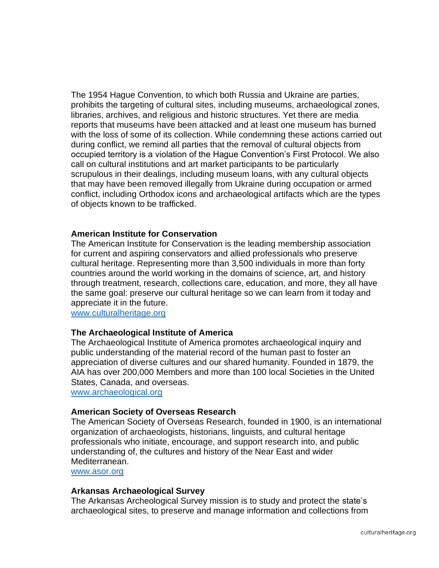The 1954 Hague Convention, to which both Russia and Ukraine are parties, prohibits the targeting of cultural sites, including museums, archaeological zones, libraries, archives, and religious and historic structures. Yet there are media reports that museums have been attacked and at least one museum has burned with the loss of some of its collection. While condemning these actions carried out during conflict, we remind all parties that the removal of cultural objects from occupied territory is a violation of the Hague Convention's First Protocol. We also call on cultural institutions and art market participants to be particularly scrupulous in their dealings, including museum loans, with any cultural objects that may have been removed illegally from Ukraine during occupation or armed conflict, including Orthodox icons and archaeological artifacts which are the types of objects known to be trafficked.

## **American Institute for Conservation**

The American Institute for Conservation is the leading membership association for current and aspiring conservators and allied professionals who preserve cultural heritage. Representing more than 3,500 individuals in more than forty countries around the world working in the domains of science, art, and history through treatment, research, collections care, education, and more, they all have the same goal: preserve our cultural heritage so we can learn from it today and appreciate it in the future.

[www.culturalheritage.org](http://www.culturalheritage.org/)

#### **The Archaeological Institute of America**

The Archaeological Institute of America promotes archaeological inquiry and public understanding of the material record of the human past to foster an appreciation of diverse cultures and our shared humanity. Founded in 1879, the AIA has over 200,000 Members and more than 100 local Societies in the United States, Canada, and overseas.

[www.archaeological.org](http://www.archaeological.org/)

#### **American Society of Overseas Research**

The American Society of Overseas Research, founded in 1900, is an international organization of archaeologists, historians, linguists, and cultural heritage professionals who initiate, encourage, and support research into, and public understanding of, the cultures and history of the Near East and wider Mediterranean.

[www.asor.org](http://www.asor.org/)

#### **Arkansas Archaeological Survey**

The Arkansas Archeological Survey mission is to study and protect the state's archaeological sites, to preserve and manage information and collections from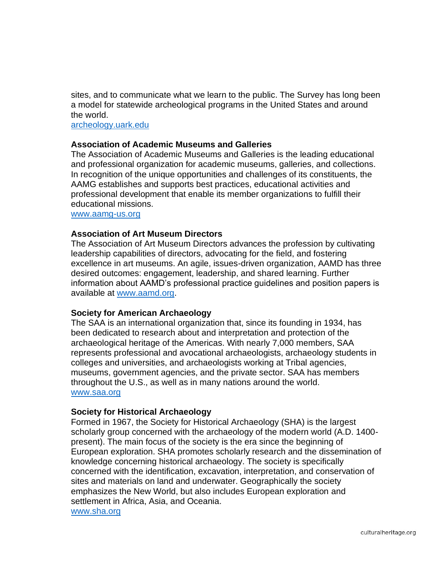sites, and to communicate what we learn to the public. The Survey has long been a model for statewide archeological programs in the United States and around the world.

[archeology.uark.edu](https://archeology.uark.edu/)

## **Association of Academic Museums and Galleries**

The Association of Academic Museums and Galleries is the leading educational and professional organization for academic museums, galleries, and collections. In recognition of the unique opportunities and challenges of its constituents, the AAMG establishes and supports best practices, educational activities and professional development that enable its member organizations to fulfill their educational missions.

[www.aamg-us.org](http://www.aamg-us.org/)

## **Association of Art Museum Directors**

The Association of Art Museum Directors advances the profession by cultivating leadership capabilities of directors, advocating for the field, and fostering excellence in art museums. An agile, issues-driven organization, AAMD has three desired outcomes: engagement, leadership, and shared learning. Further information about AAMD's professional practice guidelines and position papers is available at [www.aamd.org.](http://www.aamd.org/)

## **Society for American Archaeology**

The SAA is an international organization that, since its founding in 1934, has been dedicated to research about and interpretation and protection of the archaeological heritage of the Americas. With nearly 7,000 members, SAA represents professional and avocational archaeologists, archaeology students in colleges and universities, and archaeologists working at Tribal agencies, museums, government agencies, and the private sector. SAA has members throughout the U.S., as well as in many nations around the world. [www.saa.org](http://www.saa.org/)

## **Society for Historical Archaeology**

Formed in 1967, the Society for Historical Archaeology (SHA) is the largest scholarly group concerned with the archaeology of the modern world (A.D. 1400 present). The main focus of the society is the era since the beginning of European exploration. SHA promotes scholarly research and the dissemination of knowledge concerning historical archaeology. The society is specifically concerned with the identification, excavation, interpretation, and conservation of sites and materials on land and underwater. Geographically the society emphasizes the New World, but also includes European exploration and settlement in Africa, Asia, and Oceania.

[www.sha.org](http://www.sha.org/)